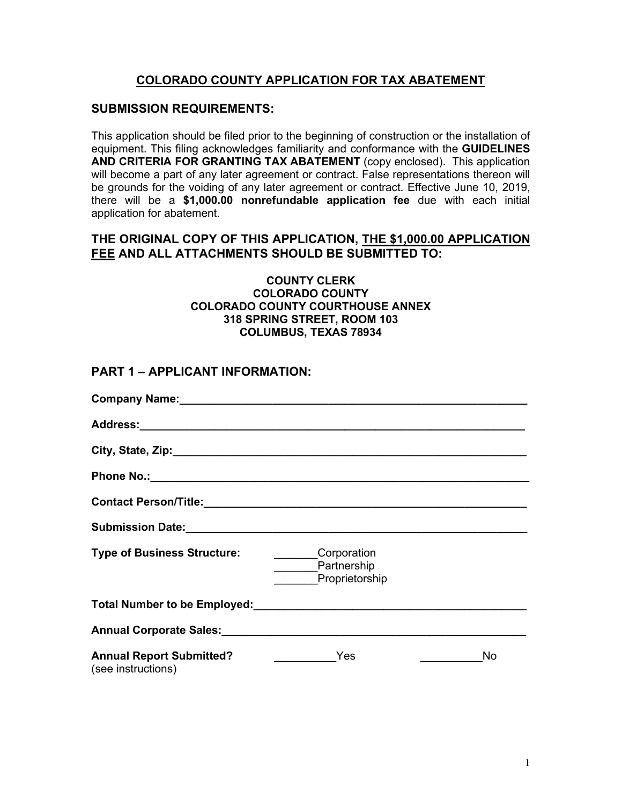### **COLORADO COUNTY APPLICATION FOR TAX ABATEMENT**

#### **SUBMISSION REQUIREMENTS:**

This application should be filed prior to the beginning of construction or the installation of equipment. This filing acknowledges familiarity and conformance with the **GUIDELINES AND CRITERIA FOR GRANTING TAX ABATEMENT** (copy enclosed). This application will become a part of any later agreement or contract. False representations thereon will be grounds for the voiding of any later agreement or contract. Effective June 10, 2019, there will be a **\$1,000.00 nonrefundable application fee** due with each initial application for abatement.

#### **THE ORIGINAL COPY OF THIS APPLICATION, THE \$1,000.00 APPLICATION FEE AND ALL ATTACHMENTS SHOULD BE SUBMITTED TO:**

#### **COUNTY CLERK COLORADO COUNTY COLORADO COUNTY COURTHOUSE ANNEX 318 SPRING STREET, ROOM 103 COLUMBUS, TEXAS 78934**

#### **PART 1 – APPLICANT INFORMATION:**

| Company Name: 1988 Company Name: 1988                 |                                                     |     |
|-------------------------------------------------------|-----------------------------------------------------|-----|
|                                                       |                                                     |     |
|                                                       |                                                     |     |
|                                                       |                                                     |     |
|                                                       |                                                     |     |
|                                                       |                                                     |     |
| <b>Type of Business Structure:</b>                    | <b>Corporation</b><br>Partnership<br>Proprietorship |     |
|                                                       |                                                     |     |
|                                                       |                                                     |     |
| <b>Annual Report Submitted?</b><br>(see instructions) | Yes                                                 | No. |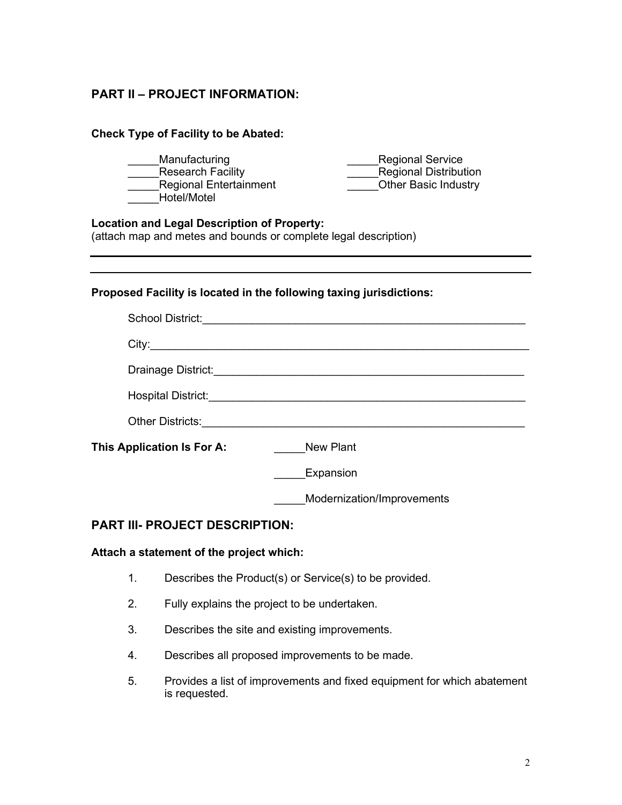## **PART II – PROJECT INFORMATION:**

| <b>Check Type of Facility to be Abated:</b>                                                                           |                                                                                                                       |  |  |  |
|-----------------------------------------------------------------------------------------------------------------------|-----------------------------------------------------------------------------------------------------------------------|--|--|--|
| Manufacturing<br><b>Research Facility</b><br>Regional Entertainment<br>Hotel/Motel                                    | <b>Regional Service</b><br><b>Regional Distribution</b><br><b>Other Basic Industry</b>                                |  |  |  |
| <b>Location and Legal Description of Property:</b><br>(attach map and metes and bounds or complete legal description) |                                                                                                                       |  |  |  |
|                                                                                                                       |                                                                                                                       |  |  |  |
| Proposed Facility is located in the following taxing jurisdictions:                                                   |                                                                                                                       |  |  |  |
|                                                                                                                       |                                                                                                                       |  |  |  |
|                                                                                                                       |                                                                                                                       |  |  |  |
|                                                                                                                       | Drainage District: <u>Container and Container and Container and Container and Container and Container and Contain</u> |  |  |  |
|                                                                                                                       |                                                                                                                       |  |  |  |
|                                                                                                                       |                                                                                                                       |  |  |  |
| This Application Is For A:<br><b>New Plant</b>                                                                        |                                                                                                                       |  |  |  |
|                                                                                                                       | Expansion                                                                                                             |  |  |  |
|                                                                                                                       | Modernization/Improvements                                                                                            |  |  |  |

### **PART III- PROJECT DESCRIPTION:**

### **Attach a statement of the project which:**

- 1. Describes the Product(s) or Service(s) to be provided.
- 2. Fully explains the project to be undertaken.
- 3. Describes the site and existing improvements.
- 4. Describes all proposed improvements to be made.
- 5. Provides a list of improvements and fixed equipment for which abatement is requested.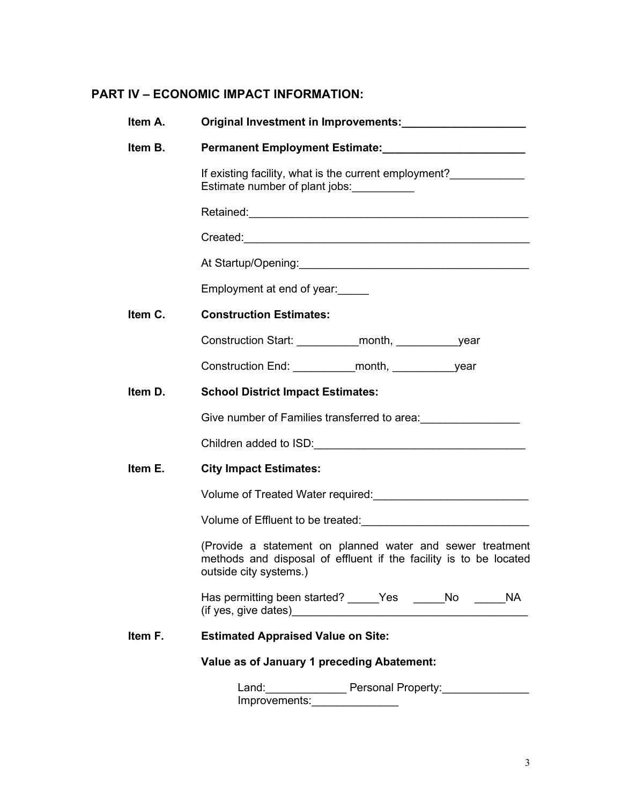# **PART IV – ECONOMIC IMPACT INFORMATION:**

| Item A. | Original Investment in Improvements: Change and China and China and China and China and China and China and Ch                 |  |  |
|---------|--------------------------------------------------------------------------------------------------------------------------------|--|--|
| Item B. |                                                                                                                                |  |  |
|         | If existing facility, what is the current employment?_____________<br>Estimate number of plant jobs:                           |  |  |
|         |                                                                                                                                |  |  |
|         |                                                                                                                                |  |  |
|         | At Startup/Opening: Manual Content of Startup/Opening:                                                                         |  |  |
|         | Employment at end of year:                                                                                                     |  |  |
| Item C. | <b>Construction Estimates:</b>                                                                                                 |  |  |
|         |                                                                                                                                |  |  |
|         |                                                                                                                                |  |  |
| Item D. | <b>School District Impact Estimates:</b>                                                                                       |  |  |
|         | Give number of Families transferred to area: ___________________________________                                               |  |  |
|         |                                                                                                                                |  |  |
| Item E. | <b>City Impact Estimates:</b>                                                                                                  |  |  |
|         | Volume of Treated Water required:<br>University management of Treated Water required:                                          |  |  |
|         |                                                                                                                                |  |  |
|         | (Provide a statement on planned water and sewer treatment<br>methods and disposal of effluent if the facility is to be located |  |  |
|         | Has permitting been started? _____Yes  _____No<br><b>NA</b>                                                                    |  |  |
| Item F. | <b>Estimated Appraised Value on Site:</b>                                                                                      |  |  |
|         | Value as of January 1 preceding Abatement:                                                                                     |  |  |
|         | Land: ____________<br>Personal Property:                                                                                       |  |  |

Improvements:\_\_\_\_\_\_\_\_\_\_\_\_\_\_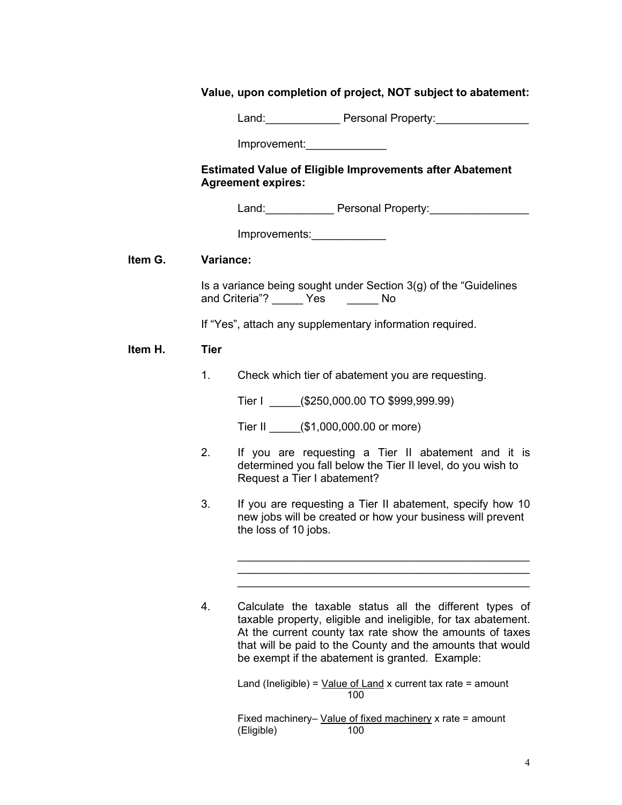|         |             | Value, upon completion of project, NOT subject to abatement:                                                                                                                                                                                                                                          |
|---------|-------------|-------------------------------------------------------------------------------------------------------------------------------------------------------------------------------------------------------------------------------------------------------------------------------------------------------|
|         |             | Land: Personal Property: 2000                                                                                                                                                                                                                                                                         |
|         |             | Improvement: New York Changes 1                                                                                                                                                                                                                                                                       |
|         |             | <b>Estimated Value of Eligible Improvements after Abatement</b><br><b>Agreement expires:</b>                                                                                                                                                                                                          |
|         |             | Land: Personal Property:                                                                                                                                                                                                                                                                              |
|         |             | Improvements: 1997-1997                                                                                                                                                                                                                                                                               |
| Item G. |             | Variance:                                                                                                                                                                                                                                                                                             |
|         |             | Is a variance being sought under Section 3(g) of the "Guidelines<br>and Criteria"? ______ Yes _______ No                                                                                                                                                                                              |
|         |             | If "Yes", attach any supplementary information required.                                                                                                                                                                                                                                              |
| Item H. | <b>Tier</b> |                                                                                                                                                                                                                                                                                                       |
|         | 1.          | Check which tier of abatement you are requesting.                                                                                                                                                                                                                                                     |
|         |             | Tier I (\$250,000.00 TO \$999,999.99)                                                                                                                                                                                                                                                                 |
|         |             | Tier II (\$1,000,000.00 or more)                                                                                                                                                                                                                                                                      |
|         | 2.          | If you are requesting a Tier II abatement and it is<br>determined you fall below the Tier II level, do you wish to<br>Request a Tier I abatement?                                                                                                                                                     |
|         | 3.          | If you are requesting a Tier II abatement, specify how 10<br>new jobs will be created or how your business will prevent<br>the loss of 10 jobs.                                                                                                                                                       |
|         |             |                                                                                                                                                                                                                                                                                                       |
|         | 4.          | Calculate the taxable status all the different types of<br>taxable property, eligible and ineligible, for tax abatement.<br>At the current county tax rate show the amounts of taxes<br>that will be paid to the County and the amounts that would<br>be exempt if the abatement is granted. Example: |
|         |             | Land (Ineligible) = $Value of Land x current tax rate = amount$                                                                                                                                                                                                                                       |

100 Fixed machinery– <u>Value of fixed machinery</u> x rate = amount (Eligible) 100